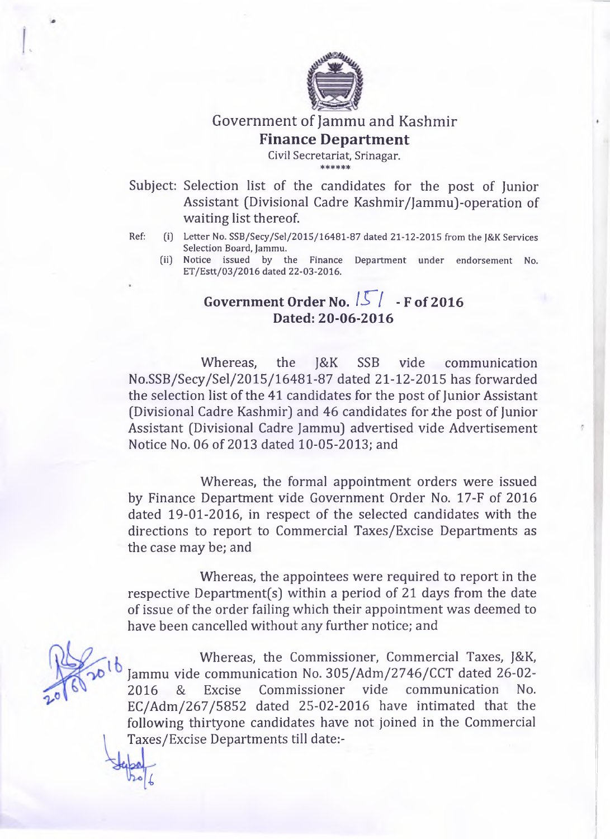

## Government of Jammu and Kashmir **Finance Department**

**Civil Secretariat, Srinagar.** \* \* \* \* \* \*

Subject: Selection list of the candidates for the post of Junior Assistant (Divisional Cadre Kashmir/JammuJ-operation of waiting list thereof.

- **Ref: (i) Letter No. SSB/Secy/Sel/2015/16481-87 dated 21-12-2015 from the J&K Services Selection Board, Jammu.**
	- **(ii) Notice issued by the Finance Department under endorsement No. E T /E stt/03/2016 dated 22-03-2016.**

## **Government Order No.**  $\sqrt{5}$  / - **F** of 2016 **Dated: 20-06-2016**

Whereas, the J&K SSB vide communication No.SSB/Secy/Sel/2015/16481-87 dated 21-12-2015 has forwarded the selection list of the 41 candidates for the post of Junior Assistant (Divisional Cadre Kashmir) and 46 candidates for the post of Junior Assistant (Divisional Cadre Jammu) advertised vide Advertisement Notice No. 06 of 2013 dated 10-05-2013; and

Whereas, the formal appointment orders were issued by Finance Department vide Government Order No. 17-F of 2016 dated 19-01-2016, in respect of the selected candidates with the directions to report to Commercial Taxes/Excise Departments as the case may be; and

Whereas, the appointees were required to report in the respective Department(s) within a period of 21 days from the date of issue of the order failing which their appointment was deemed to have been cancelled without any further notice; and

Whereas, the Commissioner, Commercial Taxes, J&K, Jammu vide communication No. 305/Adm/2746/CCT dated 26-02 2016 & Excise Commissioner vide communication No. EC/Adm/267/5852 dated 25-02-2016 have intimated that the following thirtyone candidates have not joined in the Commercial Taxes/Excise Departments till date:-

*i*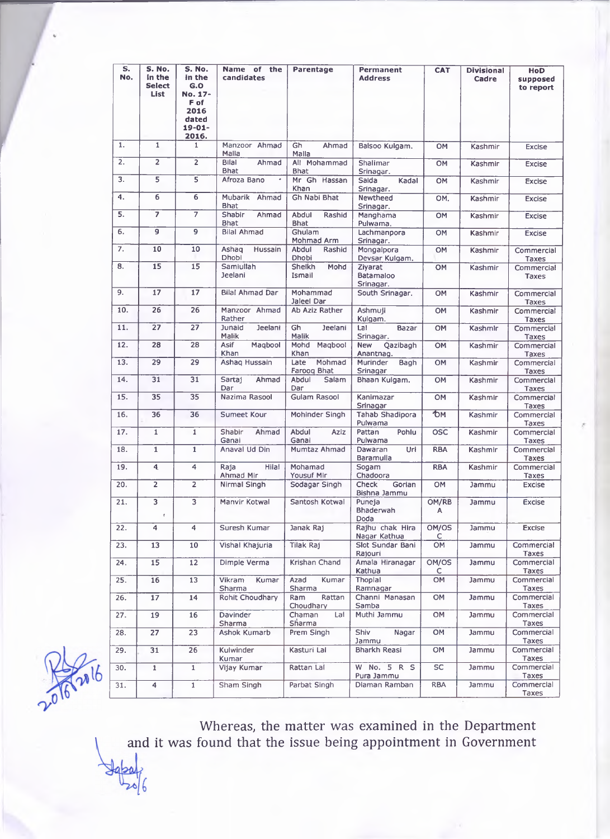| S.<br>No. | S. No.<br>In the<br><b>Select</b><br>List | S. No.<br>in the<br>G.O<br>No. 17-            | Name of the<br>candidates            | Parentage                       | Permanent<br><b>Address</b>              | <b>CAT</b> | <b>Divisional</b><br>Cadre | <b>HoD</b><br>supposed<br>to report |
|-----------|-------------------------------------------|-----------------------------------------------|--------------------------------------|---------------------------------|------------------------------------------|------------|----------------------------|-------------------------------------|
|           |                                           | F of<br>2016<br>dated<br>$19 - 01 -$<br>2016. |                                      |                                 |                                          |            |                            |                                     |
| 1.        | $\mathbf{1}$                              | $\mathbf{1}$                                  | Manzoor Ahmad<br>Malia               | Gh<br>Ahmad<br>Malla            | Balsoo Kulgam.                           | OM         | Kashmir                    | <b>Excise</b>                       |
| 2.        | $\overline{2}$                            | $\overline{2}$                                | <b>Bilal</b><br>Ahmad<br><b>Bhat</b> | All Mohammad<br><b>Bhat</b>     | Shalimar<br>Srinagar.                    | <b>OM</b>  | Kashmir                    | <b>Excise</b>                       |
| 3.        | 5                                         | 5                                             | Afroza Bano<br>$\bullet$             | Mr Gh Hassan<br>Khan            | Saida<br>Kadal<br>Srinagar.              | OM         | Kashmir                    | <b>Excise</b>                       |
| 4.        | 6                                         | 6                                             | Mubarik Ahmad<br><b>Bhat</b>         | Gh Nabi Bhat                    | Newtheed<br>Srinagar.                    | OM.        | Kashmir                    | <b>Excise</b>                       |
| 5.        | 7                                         | $\overline{\tau}$                             | Shabir<br>Ahmad<br>Bhat              | Abdul<br>Rashid<br><b>Bhat</b>  | Manghama<br>Pulwama.                     | OM         | Kashmir                    | <b>Excise</b>                       |
| 6.        | $\overline{9}$                            | 9                                             | <b>Bilal Ahmad</b>                   | Ghulam<br>Mohmad Arm            | Lachmanpora<br>Srinagar.                 | OM         | Kashmir                    | <b>Excise</b>                       |
| 7.        | 10                                        | 10                                            | Hussain<br>Ashaq<br>Dhobi            | Abdul<br>Rashid<br><b>Dhobi</b> | Mongalpora<br>Devsar Kulgam.             | OM         | Kashmir                    | Commercial<br><b>Taxes</b>          |
| 8.        | 15                                        | 15                                            | Samiullah<br>Jeelani                 | Sheikh<br>Mohd<br>Ismail        | Zivarat<br><b>Batamaloo</b><br>Srinagar. | OM         | Kashmir                    | Commercial<br><b>Taxes</b>          |
| 9.        | 17                                        | 17                                            | Bilal Ahmad Dar                      | Mohammad<br>Jaleel Dar          | South Srinagar,                          | OM         | Kashmir                    | Commercial<br><b>Taxes</b>          |
| 10.       | 26                                        | 26                                            | Manzoor Ahmad<br>Rather              | Ab Aziz Rather                  | Ashmuji<br>Kulgam.                       | OM         | Kashmir                    | Commercial<br><b>Taxes</b>          |
| 11.       | 27                                        | 27                                            | Junaid<br>Jeelani<br>Malik           | Gh<br><b>Jeelani</b><br>Malik   | Lal<br><b>Bazar</b><br>Srinagar.         | OM         | Kashmir                    | Commercial<br>Taxes                 |
| 12.       | 28                                        | 28                                            | Asif<br>Magbool<br>Khan              | Mohd<br>Magbool<br>Khan         | <b>New</b><br>Qazibagh<br>Anantnag.      | OM         | Kashmir                    | Commercial<br><b>Taxes</b>          |
| 13.       | 29                                        | 29                                            | Ashaq Hussain                        | Mohmad<br>Late<br>Faroog Bhat   | Murinder<br>Bagh<br>Srinagar             | OM         | Kashmir                    | Commercial<br>Taxes                 |
| 14.       | 31                                        | 31                                            | Ahmad<br>Sartaj<br>Dar               | Salam<br>Abdul<br>Dar           | Bhaan Kulgam.                            | OM         | Kashmir                    | Commercial                          |
| 15.       | 35                                        | 35                                            | Nazima Rasool                        | <b>Gulam Rasool</b>             | Kanimazar<br>Srinagar                    | <b>OM</b>  | Kashmir                    | <b>Taxes</b><br>Commercial<br>Taxes |
| 16.       | 36                                        | 36                                            | Sumeet Kour                          | Mohinder Singh                  | <b>Tahab Shadipora</b><br>Pulwama        | *Ом        | Kashmir                    | Commercial<br>Taxes                 |
| 17.       | $\mathbf{1}$                              | $\mathbf{1}$                                  | Shabir<br>Ahmad<br>Ganai             | Abdul<br>Aziz<br>Ganal          | Pohlu<br>Pattan<br>Pulwama               | <b>OSC</b> | Kashmir                    | Commercial<br>Taxes                 |
| 18.       | $\mathbf{1}$                              | $\mathbf{1}$                                  | Anaval Ud Din                        | Mumtaz Ahmad                    | Dawaran<br>Uri<br>Baramulla              | <b>RBA</b> | Kashmir                    | Commercial<br>Taxes                 |
| 19.       | $\overline{4}$                            | 4                                             | Raja<br>Hilal<br>Ahmad Mir           | Mohamad<br>Yousuf Mir           | Sogam<br>Chadoora                        | <b>RBA</b> | Kashmir                    | Commercial<br><b>Taxes</b>          |
| 20.       | $\overline{2}$                            | $\overline{2}$                                | Nirmal Singh                         | Sodagar Singh                   | Check<br>Gorlan<br>Bishna Jammu          | OM         | Jammu                      | <b>Excise</b>                       |
| 21.       | $\overline{\mathbf{3}}$<br>y.             |                                               | Manvir Kotwal                        | Santosh Kotwal                  | Puneja<br>Bhaderwah<br>Doda              | OM/RB<br>A | Jammu                      | <b>Excise</b>                       |
| 22.       | 4                                         | 4                                             | Suresh Kumar                         | Janak Raj                       | Rajhu chak Hira<br>Nagar Kathua          | OM/OS<br>с | Jammu                      | Excise                              |
| 23.       | 13                                        | 10                                            | Vishal Khajuria                      | Tilak Raj                       | Slot Sundar Bani<br>Rajouri              | OM         | Jammu                      | Commercial<br>Taxes                 |
| 24.       | 15                                        | 12                                            | Dimple Verma                         | Krishan Chand                   | Amala Hiranagar<br>Kathua                | OM/OS<br>С | Jammu                      | Commercial<br>Taxes                 |
| 25.       | 16                                        | 13                                            | Vikram<br>Kumar<br>Sharma            | Azad<br>Kumar<br>Sharma         | Thoplal<br>Ramnagar                      | OM         | Jammu                      | Commercial<br>Taxes                 |
| 26.       | 17 <sub>2</sub>                           | 14                                            | Rohit Choudhary                      | Ram<br>Rattan<br>Choudhary      | Channi Manasan<br>Samba                  | OM         | Jammu                      | Commercial<br>Taxes                 |
| 27.       | 19                                        | 16                                            | Davinder<br>Sharma                   | Chaman<br>Lal<br>Sharma         | Muthi Jammu                              | OM         | Jammu                      | Commercial<br>Taxes                 |
| 28.       | 27                                        | 23                                            | Ashok Kumarb                         | Prem Singh                      | Shiv<br>Nagar<br>Jammu                   | <b>OM</b>  | Jammu                      | Commercial<br>Taxes                 |
| 29.       | 31                                        | 26                                            | <b>Kulwinder</b><br>Kumar            | Kasturi Lai                     | Bharkh Reasi                             | OM         | Jammu                      | Commercial<br>Taxes                 |
| 30.       | $\mathbf{1}$                              | $\mathbf{1}$                                  | Vijay Kumar                          | Rattan Lal                      | W No. 5 R S<br>Pura Jammu                | <b>SC</b>  | Jammu                      | Commercial<br>Taxes                 |
| 31.       | 4                                         | $\mathbf{1}$                                  | Sham Singh                           | Parbat Singh                    | Diaman Ramban                            | <b>RBA</b> | Jammu                      | Commercial<br>Taxes                 |



and Whereas, the matter was examined in the Department it was found that the issue being appointment in Government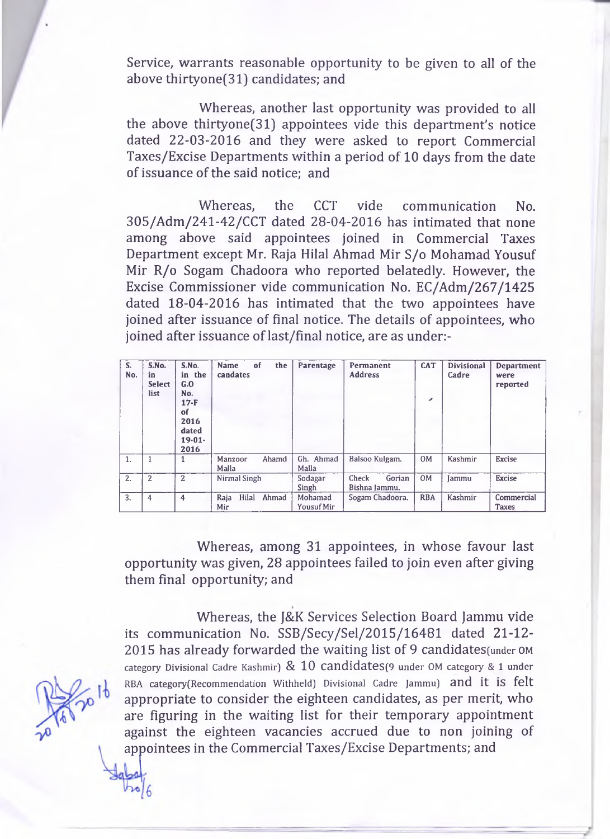Service, warrants reasonable opportunity to be given to all of the above thirtyone(31) candidates; and

Whereas, another last opportunity was provided to all the above thirtyone(31) appointees vide this department's notice dated 22-03-2016 and they were asked to report Commercial Taxes/Excise Departments within a period of 10 days from the date of issuance of the said notice; and

Whereas, the CCT vide communication No. 305/Adm/241-42/CCT dated 28-04-2016 has intimated that none among above said appointees joined in Commercial Taxes Department except Mr. Raja Hilal Ahmad Mir S/o Mohamad Yousuf Mir R/o Sogam Chadoora who reported belatedly. However, the Excise Commissioner vide communication No. EC/Adm/267/1425 dated 18-04-2016 has intimated that the two appointees have joined after issuance of final notice. The details of appointees, who joined after issuance of last/final notice, are as under:-

| S.<br>No. | S.No.<br>in<br><b>Select</b><br>list | S.No.<br>in the<br>G.O<br>No.<br>$17-F$<br>of<br>2016<br>dated<br>$19-01-$<br>2016 | the<br><b>Name</b><br>of<br>candates | Parentage                    | Permanent<br><b>Address</b>      | <b>CAT</b><br>$\mathcal{L}$ | <b>Divisional</b><br>Cadre | <b>Department</b><br>were<br>reported |
|-----------|--------------------------------------|------------------------------------------------------------------------------------|--------------------------------------|------------------------------|----------------------------------|-----------------------------|----------------------------|---------------------------------------|
| 1.        |                                      |                                                                                    | Ahamd<br>Manzoor<br>Malla            | Gh. Ahmad<br>Malla           | Balsoo Kulgam.                   | 0M                          | Kashmir                    | <b>Excise</b>                         |
| 2.        | $\overline{2}$                       | 2                                                                                  | Nirmal Singh                         | Sodagar<br>Singh             | Gorian<br>Check<br>Bishna Jammu. | 0M                          | Iammu                      | <b>Excise</b>                         |
| 3.        | 4                                    | 4                                                                                  | Hilal<br>Ahmad<br>Raja<br>Mir        | Mohamad<br><b>Yousuf Mir</b> | Sogam Chadoora.                  | <b>RBA</b>                  | Kashmir                    | Commercial<br>Taxes                   |

Whereas, among 31 appointees, in whose favour last opportunity was given, 28 appointees failed to join even after giving them final opportunity; and

Whereas, the J&K Services Selection Board Jammu vide its communication No. SSB/Secy/Sel/2015/16481 dated 21-12 2015 has already forwarded the waiting list of 9 candidates(under **om category Divisional Cadre Kashmir)** & 10 **CandidateS(9 under OM category & 1 under** RBA category(Recommendation Withheld) Divisional Cadre Jammu) and it is felt appropriate to consider the eighteen candidates, as per merit, who are figuring in the waiting list for their temporary appointment against the eighteen vacancies accrued due to non joining of appointees in the Commercial Taxes/Excise Departments; and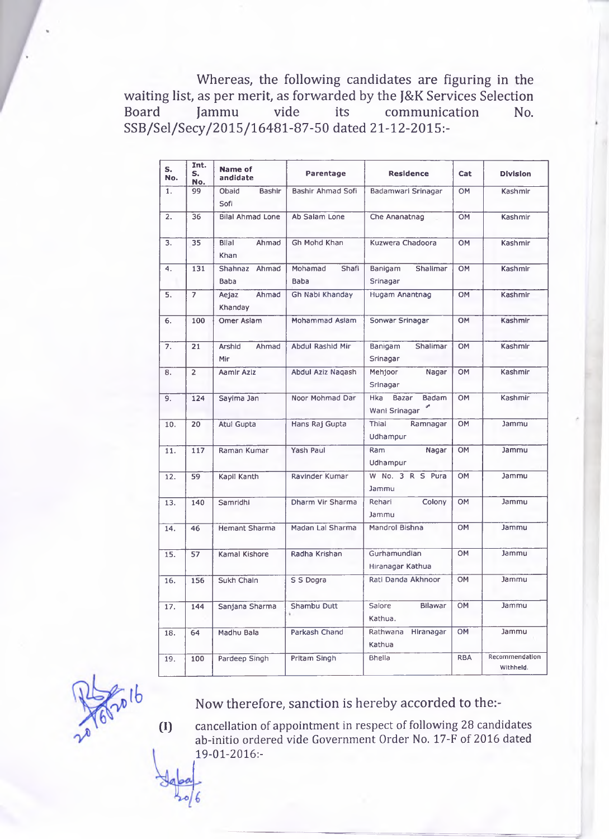Whereas, the following candidates are figuring in the waiting list, as per merit, as forwarded by the J&K Services Selection<br>Board Jammu vide its communication No. Board Jammu vide its communication No. SSB/Sel/Secy/2015/16481-87-50 dated 21-12-2015:-

| S.<br>No.        | Int.<br>Name of<br>S.<br>andidate<br>No. |                               | Parentage                | <b>Residence</b>                              | Cat        | <b>Division</b>             |
|------------------|------------------------------------------|-------------------------------|--------------------------|-----------------------------------------------|------------|-----------------------------|
| 1.               | 99                                       | Obaid<br>Bashir<br>Sofi       | Bashir Ahmad Sofi        | Badamwari Srinagar                            | OM         | Kashmir                     |
| $\overline{2}$ . | 36                                       | <b>Bilal Ahmad Lone</b>       | Ab Salam Lone            | Che Ananatnag                                 | OM         | Kashmir                     |
| 3.               | 35                                       | <b>Blial</b><br>Ahmad<br>Khan | Gh Mohd Khan             | Kuzwera Chadoora                              | <b>OM</b>  | Kashmir                     |
| 4.               | 131                                      | Shahnaz Ahmad<br>Baba         | Mohamad<br>Shafi<br>Baba | Shalimar<br>Banigam<br>Srinagar               | OM         | Kashmir                     |
| 5.               | $\overline{7}$                           | Ahmad<br>Aejaz<br>Khanday     | Gh Nabi Khanday          | Hugam Anantnag                                | <b>OM</b>  | Kashmir                     |
| 6.               | 100                                      | Omer Aslam                    | Mohammad Aslam           | Sonwar Srinagar                               | <b>OM</b>  | Kashmir                     |
| 7.               | 21                                       | Arshid<br>Ahmad<br>Mir        | Abdul Rashid Mir         | Shalimar<br>Banigam<br>Srinagar               | <b>OM</b>  | Kashmir                     |
| 8.               | $\overline{2}$                           | Aamlr Azlz                    | Abdul Aziz Nagash        | Mehjoor<br>Nagar<br>Srinagar                  | OM         | Kashmir                     |
| 9.               | 124                                      | Sayima Jan                    | Noor Mohmad Dar          | Bazar<br>Badam<br><b>Hka</b><br>Wanl Srinagar | OM         | Kashmir                     |
| 10.              | 20                                       | Atul Gupta                    | Hans Raj Gupta           | Thial<br>Ramnagar<br>Udhampur                 | <b>OM</b>  | Jammu                       |
| 11.              | 117                                      | Raman Kumar                   | Yash Paul                | Ram<br>Nagar<br>Udhampur                      | OM         | Jammu                       |
| 12.              | 59                                       | Kapil Kanth                   | Ravinder Kumar           | W No. 3 R S Pura<br>Jammu                     | OM         | <b>Jammu</b>                |
| 13.              | 140                                      | Samridhi                      | Dharm Vir Sharma         | Colony<br>Rehari<br>Jammu                     | OM         | Jammu                       |
| 14.              | 46                                       | <b>Hemant Sharma</b>          | Madan Lal Sharma         | Mandrol Bishna                                | <b>OM</b>  | Jammu                       |
| 15.              | 57                                       | Kamal Kishore                 | Radha Krishan            | Gurhamundian<br>Hiranagar Kathua              | OM         | Jammu                       |
| 16.              | 156                                      | Sukh Chain                    | S S Dogra                | Rati Danda Akhnoor                            | <b>OM</b>  | Jammu                       |
| 17.              | 144                                      | Sanjana Sharma                | Shambu Dutt              | Bilawar<br>Salore<br>Kathua.                  | <b>OM</b>  | Jammu                       |
| 18.              | 64                                       | Madhu Bala                    | Parkash Chand            | Rathwana<br>Hiranagar<br>Kathua               | <b>OM</b>  | Jammu                       |
| 19.              | 100                                      | Pardeep Singh                 | Pritam Singh             | Bhella                                        | <b>RBA</b> | Recommendation<br>Withheld. |

 $\overline{a}$ <sub> $\overline{b}$ </sub>

Now therefore, sanction is hereby accorded to the:-

**0 ) cancellation of appointment in respect of following 28 candidates ab-initio ordered vide Government Order No. 17-F of 2016 dated 19-01-2016:-**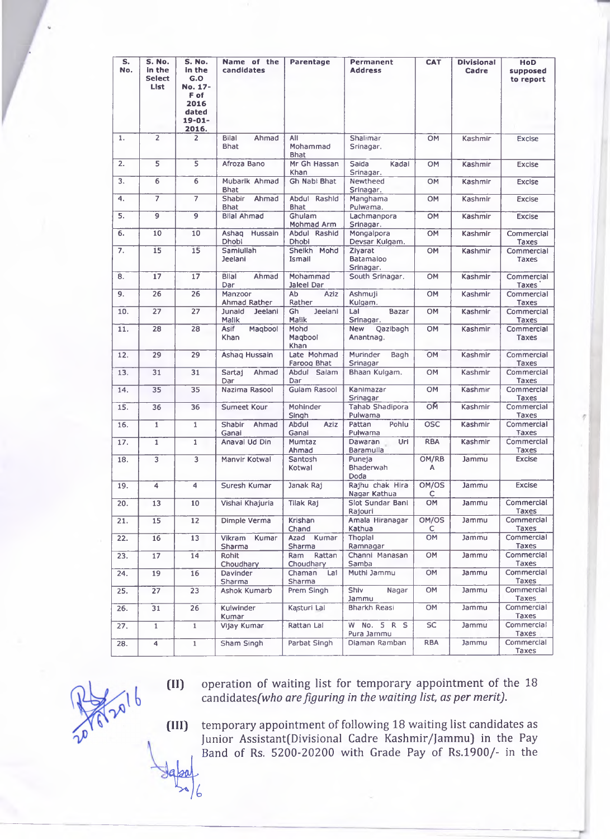| s.<br>No. | S. No.<br>in the<br><b>Select</b><br>List | S. No.<br>in the<br>G.O<br>No. 17-<br>F of<br>2016<br>dated<br>$19 - 01 -$<br>2016. | Name of the<br>candidates             | <b>Parentage</b>               | Permanent<br><b>Address</b>         | <b>CAT</b>  | <b>Divisional</b><br>Cadre | HoD<br>supposed<br>to report |
|-----------|-------------------------------------------|-------------------------------------------------------------------------------------|---------------------------------------|--------------------------------|-------------------------------------|-------------|----------------------------|------------------------------|
| 1.        | $\overline{2}$                            | $\overline{2}$                                                                      | Bilal<br>Ahmad<br><b>Bhat</b>         | All<br>Mohammad<br><b>Bhat</b> | Shalimar<br>Srinagar.               | <b>OM</b>   | Kashmir                    | <b>Excise</b>                |
| 2.        | 5                                         | 5                                                                                   | Afroza Bano                           | Mr Gh Hassan<br>Khan           | Saida<br>Kadal<br>Srinagar.         | <b>OM</b>   | Kashmir                    | <b>Excise</b>                |
| 3.        | 6                                         | 6                                                                                   | Mubarik Ahmad<br><b>Bhat</b>          | <b>Gh Nabi Bhat</b>            | Newtheed<br>Srinagar.               | <b>OM</b>   | Kashmir                    | <b>Excise</b>                |
| 4.        | $\overline{7}$                            | $\overline{7}$                                                                      | <b>Shabir</b><br>Ahmad<br><b>Bhat</b> | Abdul Rashid<br><b>Bhat</b>    | Manghama<br>Pulwama.                | <b>OM</b>   | Kashmir                    | <b>Excise</b>                |
| 5.        | 9                                         | 9                                                                                   | <b>Bilal Ahmad</b>                    | Ghulam<br>Mohmad Arm           | Lachmanpora<br>Srinagar.            | <b>OM</b>   | Kashmir                    | <b>Excise</b>                |
| 6.        | 10                                        | 10                                                                                  | Ashaq Hussain<br>Dhobl                | Abdul Rashid<br>Dhobi          | Mongalpora<br>Devsar Kulgam.        | OM          | Kashmir                    | Commercial<br>Taxes          |
| 7.        | 15                                        | $\overline{15}$                                                                     | Samiullah<br>Jeelani                  | Sheikh Mohd<br>Ismail          | Zivarat<br>Batamaloo<br>Srinagar.   | OM          | Kashmir                    | Commercial<br><b>Taxes</b>   |
| 8.        | 17                                        | 17                                                                                  | <b>Bilal</b><br>Ahmad<br>Dar          | Mohammad<br>Jaleel Dar         | South Srinagar.                     | OM          | Kashmir                    | Commercial<br><b>Taxes</b>   |
| 9.        | 26                                        | 26                                                                                  | Manzoor<br>Ahmad Rather               | Ab<br><b>Aziz</b><br>Rather    | Ashmuji<br>Kulgam.                  | <b>OM</b>   | Kashmir                    | Commercial<br><b>Taxes</b>   |
| 10.       | 27                                        | 27                                                                                  | Junaid<br>Jeelani<br>Malik            | Jeelani<br>Gh<br>Malik         | Lal<br>Bazar<br>Srinagar.           | <b>OM</b>   | Kashmir                    | Commercial<br>Taxes          |
| 11.       | 28                                        | 28                                                                                  | Magbool<br><b>Asif</b><br>Khan        | Mohd<br>Magbool<br>Khan        | Qazibagh<br><b>New</b><br>Anantnag. | <b>OM</b>   | Kashmir                    | Commercial<br><b>Taxes</b>   |
| 12.       | 29                                        | 29                                                                                  | Ashaq Hussain                         | Late Mohmad<br>Faroog Bhat     | Murinder<br>Bagh<br>Srinagar        | <b>OM</b>   | Kashmir                    | Commercial<br>Taxes          |
| 13.       | 31                                        | 31                                                                                  | Sartaj<br>Ahmad<br>Dar                | Abdul Salam<br>Dar             | Bhaan Kulgam.                       | <b>OM</b>   | Kashmir                    | Commercial<br>Taxes          |
| 14.       | 35                                        | 35                                                                                  | Nazima Rasool                         | <b>Gulam Rasool</b>            | Kanimazar<br>Srinagar               | OM          | Kashmir                    | Commercial<br>Taxes          |
| 15.       | 36                                        | 36                                                                                  | <b>Sumeet Kour</b>                    | Mohinder<br>Singh              | <b>Tahab Shadipora</b><br>Pulwama   | OM          | Kashmir                    | Commercial<br>Taxes          |
| 16.       | $\mathbf{1}$                              | $\mathbf{1}$                                                                        | Shabir<br>Ahmad<br>Ganai              | Abdul<br><b>Aziz</b><br>Ganai  | Pohlu<br>Pattan<br>Pulwama          | <b>OSC</b>  | Kashmir                    | Commercial<br><b>Taxes</b>   |
| 17.       | $\mathbf{1}$                              | $\mathbf{1}$                                                                        | Anaval Ud Din                         | Mumtaz<br>Ahmad                | Uri<br>Dawaran<br><b>Baramulla</b>  | <b>RBA</b>  | Kashmir                    | Commercial<br>Taxes          |
| 18.       | $\overline{3}$                            | 3                                                                                   | Manvir Kotwal                         | Santosh<br>Kotwal              | Puneja<br>Bhaderwah<br>Doda         | OM/RB<br>Α  | Jammu                      | <b>Excise</b>                |
| 19.       | 4                                         | 4                                                                                   | Suresh Kumar                          | Janak Raj                      | Rajhu chak Hira<br>Nagar Kathua     | OM/OS<br>с  | Jammu                      | <b>Excise</b>                |
| 20.       | 13                                        | 10                                                                                  | Vishai Khajuria                       | Tilak Raj                      | Slot Sundar Bani<br>Rajouri         | OM          | Jammu                      | Commercial<br>Taxes          |
| 21.       | 15                                        | 12                                                                                  | Dimple Verma                          | Krishan<br>Chand               | Amala Hiranagar<br>Kathua           | OM/OS<br>C. | Jammu                      | Commercial<br>Taxes          |
| 22.       | 16                                        | 13                                                                                  | Kumar<br>Vikram<br>Sharma             | Azad Kumar<br>Sharma           | Thoplal<br>Ramnagar                 | <b>OM</b>   | Jammu                      | Commercial<br><b>Taxes</b>   |
| 23.       | 17                                        | 14                                                                                  | Rohit<br>Choudhary                    | Ram<br>Rattan<br>Choudhary     | Channi Manasan<br>Samba             | OM          | Jammu                      | Commercial<br>Taxes          |
| 24.       | 19                                        | 16                                                                                  | Davinder<br>Sharma                    | Chaman<br>Lal<br>Sharma        | Muthi Jammu                         | OM          | Jammu                      | Commercial<br>Taxes          |
| 25.       | 27                                        | 23                                                                                  | Ashok Kumarb                          | Prem Singh                     | Shiv<br>Nagar<br>Jammu              | OM          | Jammu                      | Commercial<br><b>Taxes</b>   |
| 26.       | 31                                        | 26                                                                                  | Kulwinder<br>Kumar                    | Kasturi Lal                    | Bharkh Reasi                        | OM          | Jammu                      | Commercial<br>Taxes          |
| 27.       | $\overline{1}$                            | $\mathbf{1}$                                                                        | Vijay Kumar                           | Rattan Lal                     | W No. 5 R S<br>Pura Jammu           | <b>SC</b>   | Jammu                      | Commercial<br>Taxes          |
| 28.       | 4                                         | $\mathbf{1}$                                                                        | Sham Singh                            | Parbat Singh                   | Diaman Ramban                       | <b>RBA</b>  | Jammu                      | Commercial<br>Taxes          |

**(II) operation of waiting list for temporary appointment of the 18** candidates(who are figuring in the waiting list, as per merit).

I p

**(III) temporary appointment of following 18 waiting list candidates as Junior Assistant(Divisional Cadre Kashmir/Jammu) in the Pay** Band of Rs. 5200-20200 with Grade Pay of Rs.1900/- in the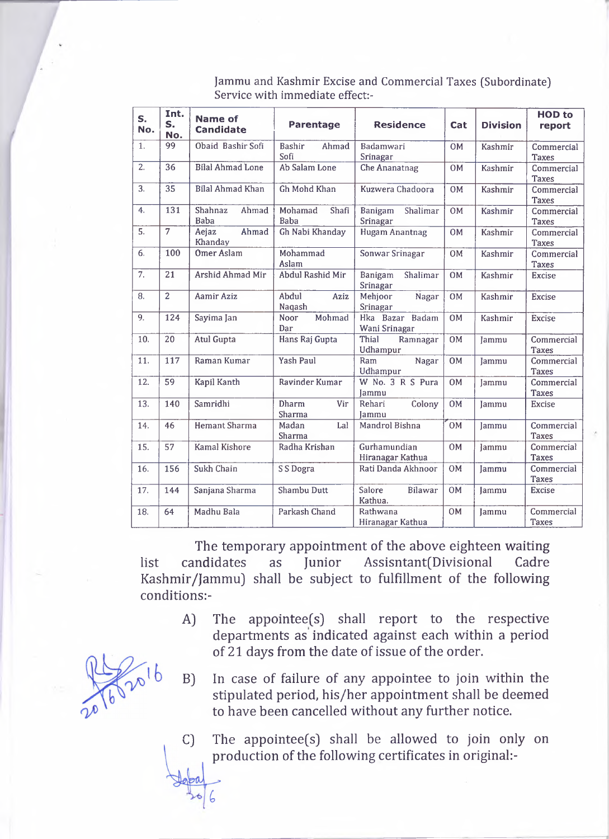| S.<br>No.      | Int.<br>S.<br>No. | <b>Name of</b><br><b>Candidate</b> | <b>Parentage</b>              | <b>Residence</b>                 | Cat       | <b>Division</b> | <b>HOD</b> to<br>report    |
|----------------|-------------------|------------------------------------|-------------------------------|----------------------------------|-----------|-----------------|----------------------------|
| $\mathbf{1}$ . | 99                | Obaid Bashir Sofi                  | Bashir<br>Ahmad<br>Sofi       | Badamwari<br>Srinagar            | <b>OM</b> | Kashmir         | Commercial<br><b>Taxes</b> |
| 2.             | 36                | <b>Bilal Ahmad Lone</b>            | Ab Salam Lone                 | <b>Che Ananatnag</b>             | <b>OM</b> | Kashmir         | Commercial<br><b>Taxes</b> |
| 3.             | $\overline{35}$   | <b>Bilal Ahmad Khan</b>            | Gh Mohd Khan                  | Kuzwera Chadoora                 | <b>OM</b> | Kashmir         | Commercial<br><b>Taxes</b> |
| 4.             | $\overline{131}$  | Shahnaz<br>Ahmad<br><b>Baba</b>    | Mohamad<br>Shafi<br>Baba      | Shalimar<br>Banigam<br>Srinagar  | OM        | <b>Kashmir</b>  | Commercial<br><b>Taxes</b> |
| 5.             | $\overline{7}$    | Ahmad<br>Aejaz<br>Khanday          | Gh Nabi Khanday               | <b>Hugam Anantnag</b>            | <b>OM</b> | Kashmir         | Commercial<br><b>Taxes</b> |
| 6.             | 100               | <b>Omer Aslam</b>                  | Mohammad<br>Aslam             | Sonwar Srinagar                  | <b>OM</b> | Kashmir         | Commercial<br><b>Taxes</b> |
| 7.             | 21                | Arshid Ahmad Mir                   | Abdul Rashid Mir              | Shalimar<br>Banigam<br>Srinagar  | <b>OM</b> | Kashmir         | <b>Excise</b>              |
| 8.             | $\overline{2}$    | Aamir Aziz                         | Abdul<br>Aziz<br>Naqash       | Mehjoor<br>Nagar<br>Srinagar     | <b>OM</b> | Kashmir         | <b>Excise</b>              |
| 9.             | 124               | Sayima Jan                         | Mohmad<br>Noor<br>Dar         | Hka Bazar Badam<br>Wani Srinagar | OM        | Kashmir         | <b>Excise</b>              |
| 10.            | 20                | <b>Atul Gupta</b>                  | Hans Raj Gupta                | Thial<br>Ramnagar<br>Udhampur    | <b>OM</b> | <b>lammu</b>    | Commercial<br><b>Taxes</b> |
| 11.            | 117               | Raman Kumar                        | <b>Yash Paul</b>              | Ram<br>Nagar<br>Udhampur         | <b>OM</b> | Jammu           | Commercial<br><b>Taxes</b> |
| 12.            | $\overline{59}$   | Kapil Kanth                        | Ravinder Kumar                | W No. 3 R S Pura<br>Jammu        | <b>OM</b> | Jammu           | Commercial<br><b>Taxes</b> |
| 13.            | 140               | Samridhi                           | <b>Dharm</b><br>Vir<br>Sharma | Rehari<br>Colony<br><b>Jammu</b> | 0M        | Jammu           | <b>Excise</b>              |
| 14.            | 46                | Hemant Sharma                      | Madan<br>Lal<br>Sharma        | Mandrol Bishna                   | OM        | lammu           | Commercial<br><b>Taxes</b> |
| 15.            | 57                | Kamal Kishore                      | Radha Krishan                 | Gurhamundian<br>Hiranagar Kathua | OM        | Jammu           | Commercial<br><b>Taxes</b> |
| 16.            | 156               | Sukh Chain                         | S S Dogra                     | Rati Danda Akhnoor               | <b>OM</b> | Jammu           | Commercial<br><b>Taxes</b> |
| 17.            | 144               | Sanjana Sharma                     | Shambu Dutt                   | Salore<br>Bilawar<br>Kathua.     | <b>OM</b> | Jammu           | <b>Excise</b>              |
| 18.            | 64                | Madhu Bala                         | Parkash Chand                 | Rathwana<br>Hiranagar Kathua     | 0M        | Jammu           | Commercial<br><b>Taxes</b> |

**Jammu and Kashmir Excise and Commercial Taxes (Subordinate) Service with immediate effect:-**

The temporary appointment of the above eighteen waiting list candidates as Junior Assisntant(Divisional Cadre Kashmir/Jammu) shall be subject to fulfillment of the following conditions:-

- A) The appointee(s) shall report to the respective departments as indicated against each within a period of 21 days from the date of issue of the order.
- B) In case of failure of any appointee to join within the stipulated period, his/her appointment shall be deemed to have been cancelled without any further notice.
- C) The appointee(s) shall be allowed to join only on production of the following certificates in original:-

 $2016$ 

6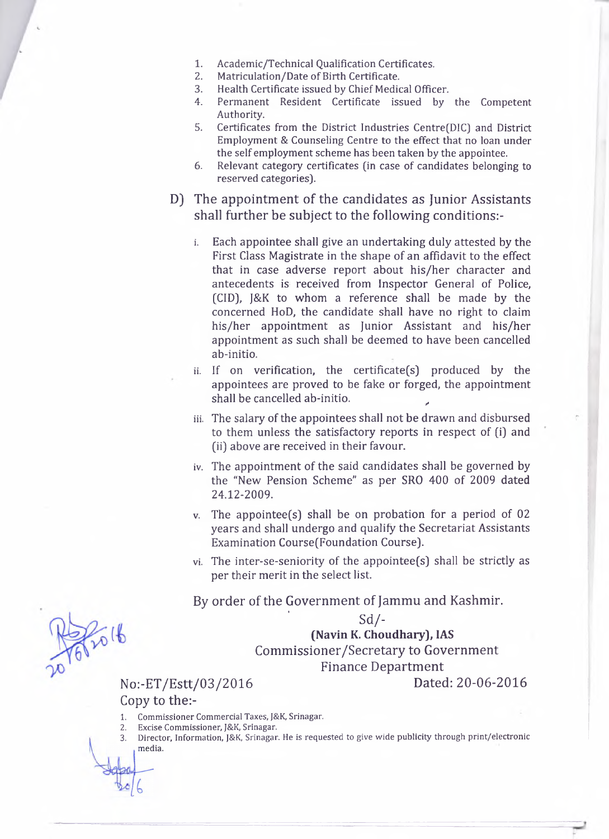- **1. Academic/Technical Qualification Certificates.**
- **2. Matriculation/Date of Birth Certificate.**
- **3. Health Certificate issued by Chief Medical Officer.**
- **4. Permanent Resident Certificate issued by the Competent Authority.**
- **5. Certificates from the District Industries Centre(DIC) and District Employment & Counseling Centre to the effect that no loan under the self employment scheme has been taken by the appointee.**
- **6. Relevant category certificates (in case of candidates belonging to reserved categories).**
- D) The appointment of the candidates as Junior Assistants shall further be subject to the following conditions:
	- **i. Each appointee shall give an undertaking duly attested by the First Class Magistrate in the shape of an affidavit to the effect that in case adverse report about his/her character and antecedents is received from Inspector General of Police, (CID), J&K to whom a reference shall be made by the concerned HoD, the candidate shall have no right to claim his/her appointment as Junior Assistant and his/her appointment as such shall be deemed to have been cancelled ab-initio.**
	- **ii. If on verification, the certificate(s) produced by the appointees are proved to be fake or forged, the appointment** shall be cancelled ab-initio.
	- **iii. The salary of the appointees shall not be drawn and disbursed to them unless the satisfactory reports in respect of (i) and (ii) above are received in their favour.**
	- **iv. The appointment of the said candidates shall be governed by the "New Pension Scheme" as per SRO 400 of 2009 dated 24.12-2009.**
	- **v. The appointee(s) shall be on probation for a period of 02 years and shall undergo and qualify the Secretariat Assistants Examination CoursefFoundation Course).**
	- **vi. The inter-se-seniority of the appointee(s) shall be strictly as per their merit in the select list.**

By order of the Government of Jammu and Kashmir.

## ' **s d / - (Navin K. Choudhary), IAS**

Commissioner/Secretary to Government

Finance Department

## No:-ET/Estt/03/2016 Dated: 20-06-2016

Copy to the:-

- **1. Commissioner Commercial Taxes, J&K, Srinagar.**
- **2. Excise Commissioner, J&K, Srinagar.**
- **3. Director, Information, J&K, Srinagar. He is requested to give wide publicity through print/electronic media.**